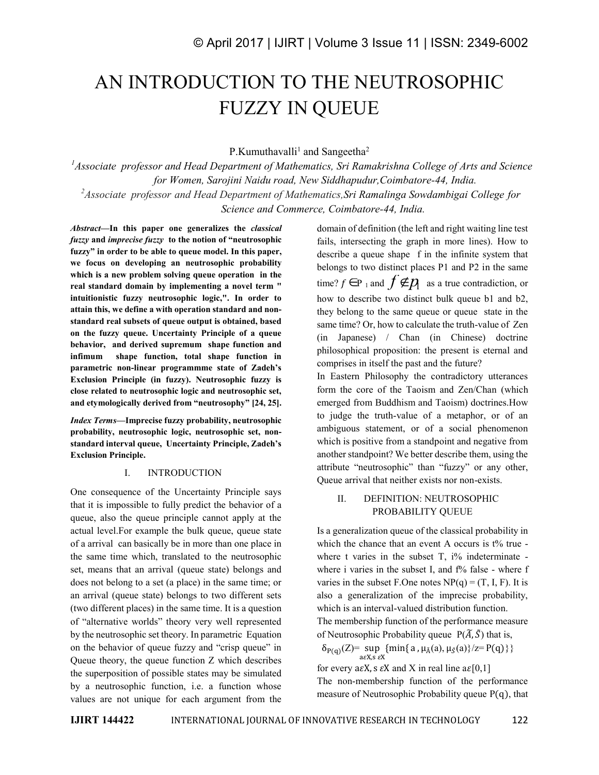# AN INTRODUCTION TO THE NEUTROSOPHIC FUZZY IN QUEUE

P.Kumuthavalli<sup>1</sup> and Sangeetha<sup>2</sup>

*<sup>1</sup>Associate professor and Head Department of Mathematics, Sri Ramakrishna College of Arts and Science for Women, Sarojini Naidu road, New Siddhapudur,Coimbatore-44, India. <sup>2</sup>Associate professor and Head Department of Mathematics,Sri Ramalinga Sowdambigai College for Science and Commerce, Coimbatore-44, India.*

*Abstract—***In this paper one generalizes the** *classical fuzzy* **and** *imprecise fuzzy* **to the notion of "neutrosophic fuzzy" in order to be able to queue model. In this paper, we focus on developing an neutrosophic probability which is a new problem solving queue operation in the real standard domain by implementing a novel term " intuitionistic fuzzy neutrosophic logic,". In order to attain this, we define a with operation standard and nonstandard real subsets of queue output is obtained, based on the fuzzy queue. Uncertainty Principle of a queue behavior, and derived supremum shape function and infimum shape function, total shape function in parametric non-linear programmme state of Zadeh's Exclusion Principle (in fuzzy). Neutrosophic fuzzy is close related to neutrosophic logic and neutrosophic set, and etymologically derived from "neutrosophy" [24, 25].**

*Index Terms—***Imprecise fuzzy probability, neutrosophic probability, neutrosophic logic, neutrosophic set, nonstandard interval queue, Uncertainty Principle, Zadeh's Exclusion Principle.**

#### I. INTRODUCTION

One consequence of the Uncertainty Principle says that it is impossible to fully predict the behavior of a queue, also the queue principle cannot apply at the actual level.For example the bulk queue, queue state of a arrival can basically be in more than one place in the same time which, translated to the neutrosophic set, means that an arrival (queue state) belongs and does not belong to a set (a place) in the same time; or an arrival (queue state) belongs to two different sets (two different places) in the same time. It is a question of "alternative worlds" theory very well represented by the neutrosophic set theory. In parametric Equation on the behavior of queue fuzzy and "crisp queue" in Queue theory, the queue function Z which describes the superposition of possible states may be simulated by a neutrosophic function, i.e. a function whose values are not unique for each argument from the domain of definition (the left and right waiting line test fails, intersecting the graph in more lines). How to describe a queue shape f in the infinite system that belongs to two distinct places P1 and P2 in the same time?  $f \in \text{P}_1$  and  $f \notin p$  as a true contradiction, or how to describe two distinct bulk queue b1 and b2, they belong to the same queue or queue state in the same time? Or, how to calculate the truth-value of Zen (in Japanese) / Chan (in Chinese) doctrine philosophical proposition: the present is eternal and comprises in itself the past and the future?

In Eastern Philosophy the contradictory utterances form the core of the Taoism and Zen/Chan (which emerged from Buddhism and Taoism) doctrines.How to judge the truth-value of a metaphor, or of an ambiguous statement, or of a social phenomenon which is positive from a standpoint and negative from another standpoint? We better describe them, using the attribute "neutrosophic" than "fuzzy" or any other, Queue arrival that neither exists nor non-exists.

## II. DEFINITION: NEUTROSOPHIC PROBABILITY QUEUE

Is a generalization queue of the classical probability in which the chance that an event A occurs is t% true where t varies in the subset  $T$ ,  $i\%$  indeterminate where i varies in the subset I, and  $f\%$  false - where f varies in the subset F.One notes  $NP(q) = (T, I, F)$ . It is also a generalization of the imprecise probability, which is an interval-valued distribution function.

The membership function of the performance measure of Neutrosophic Probability queue  $P(\widetilde{A}, \widetilde{S})$  that is,

 $\delta_{P(q)}(Z) = \sup_{a \in X, s \in X} \{ \min\{a, \mu_{\bar{A}}(a), \mu_{\bar{S}}(a)\}/z = P(q) \} \}$ 

for every a $\epsilon X$ , s  $\epsilon X$  and X in real line a $\epsilon [0,1]$ The non-membership function of the performance measure of Neutrosophic Probability queue P(q), that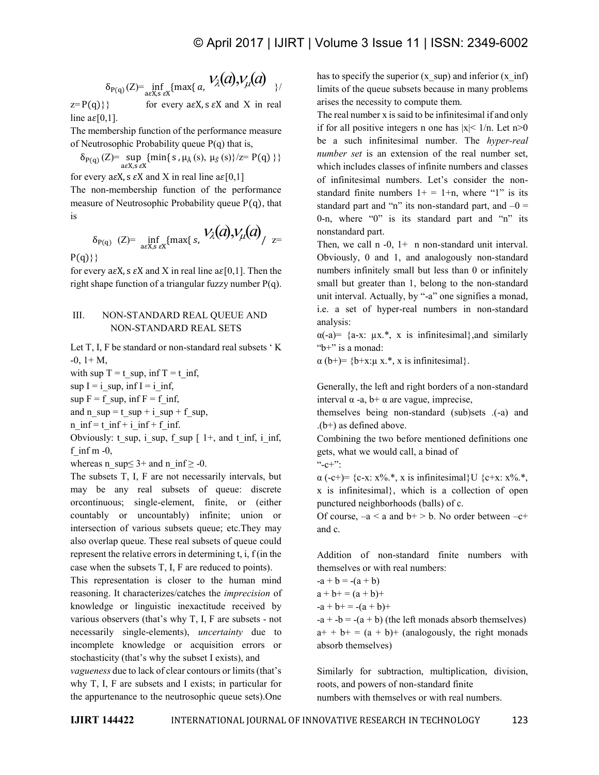$$
\delta_{P(q)}(Z) = \inf_{a \in X, s \in X} \{ \max\{a, V_{\lambda}(a), V_{\mu}(a) \}
$$

 $z = P(q)$ } for every a $\epsilon X$ , s  $\epsilon X$  and X in real line  $a\epsilon[0,1]$ .

The membership function of the performance measure of Neutrosophic Probability queue P(q) that is,

 $\delta_{P(q)}(Z)$ = sup {min{ s,  $\mu_{\tilde{A}}(s)$ ,  $\mu_{\tilde{S}}(s)$ }/z= P(q) }}  $a \in X$ ,  $\overline{s} \in X$ 

for every a $\epsilon X$ , s  $\epsilon X$  and X in real line a $\epsilon [0,1]$ 

The non-membership function of the performance measure of Neutrosophic Probability queue P(q), that is

$$
\delta_{P(q)} (Z) = \inf_{a \in X, s \in X} \{ \max \{ s, V_{\lambda}(a), V_{\mu}(a) \} / z =
$$

 $P(q)$ }

for every a $\epsilon X$ , s  $\epsilon X$  and X in real line a $\epsilon [0,1]$ . Then the right shape function of a triangular fuzzy number  $P(q)$ .

#### III. NON-STANDARD REAL QUEUE AND NON-STANDARD REAL SETS

Let T, I, F be standard or non-standard real subsets ' K  $-0$ ,  $1+$  M,

with sup  $T = t$  sup, inf  $T = t$  inf,

sup  $I = i$  sup, inf  $I = i$  inf,

 $\sup F = f \sup, \inf F = f \inf,$ 

and n\_sup = t\_sup + i\_sup + f\_sup,

n  $inf = t$  inf + i inf + f inf.

Obviously: t\_sup, i\_sup, f\_sup  $[ 1+, 1]$  and t\_inf, i\_inf, f inf m  $-0$ ,

whereas n\_sup $\leq$  3+ and n\_inf  $\geq$  -0.

The subsets T, I, F are not necessarily intervals, but may be any real subsets of queue: discrete orcontinuous; single-element, finite, or (either countably or uncountably) infinite; union or intersection of various subsets queue; etc.They may also overlap queue. These real subsets of queue could represent the relative errors in determining t, i, f (in the case when the subsets T, I, F are reduced to points).

This representation is closer to the human mind reasoning. It characterizes/catches the *imprecision* of knowledge or linguistic inexactitude received by various observers (that's why T, I, F are subsets - not necessarily single-elements), *uncertainty* due to incomplete knowledge or acquisition errors or stochasticity (that's why the subset I exists), and

*vagueness* due to lack of clear contours or limits (that's why T, I, F are subsets and I exists; in particular for the appurtenance to the neutrosophic queue sets).One has to specify the superior  $(x \text{ sup})$  and inferior  $(x \text{ inf})$ limits of the queue subsets because in many problems arises the necessity to compute them.

The real number x is said to be infinitesimal if and only if for all positive integers n one has  $|x| < 1/n$ . Let n > 0 be a such infinitesimal number. The *hyper-real number set* is an extension of the real number set, which includes classes of infinite numbers and classes of infinitesimal numbers. Let's consider the nonstandard finite numbers  $1+ = 1+n$ , where "1" is its standard part and "n" its non-standard part, and  $-0 =$ 0-n, where "0" is its standard part and "n" its nonstandard part.

Then, we call  $n - 0$ ,  $1 + n$  non-standard unit interval. Obviously, 0 and 1, and analogously non-standard numbers infinitely small but less than 0 or infinitely small but greater than 1, belong to the non-standard unit interval. Actually, by "-a" one signifies a monad, i.e. a set of hyper-real numbers in non-standard analysis:

 $\alpha$ (-a) = {a-x:  $\mu$ x.<sup>\*</sup>, x is infinitesimal}, and similarly " $b+$ " is a monad:

 $\alpha$  (b+)= {b+x: $\mu$  x.\*, x is infinitesimal}.

Generally, the left and right borders of a non-standard interval  $\alpha$  -a,  $\beta$  +  $\alpha$  are vague, imprecise,

themselves being non-standard (sub)sets .(-a) and  $(b+)$  as defined above.

Combining the two before mentioned definitions one gets, what we would call, a binad of

 $C+$ ":

 $\alpha$  (-c+)= {c-x: x%.\*, x is infinitesimal}U {c+x: x%.\*, x is infinitesimal}, which is a collection of open punctured neighborhoods (balls) of c.

Of course,  $-a < a$  and  $b \rightarrow b$ . No order between  $-c+$ and c.

Addition of non-standard finite numbers with themselves or with real numbers:

 $-a + b = -(a + b)$ 

 $a + b + = (a + b) +$ 

 $-a + b + = -(a + b) +$ 

 $-a + b = -(a + b)$  (the left monads absorb themselves)  $a^{+} + b^{+} = (a + b)^{+}$  (analogously, the right monads absorb themselves)

Similarly for subtraction, multiplication, division, roots, and powers of non-standard finite numbers with themselves or with real numbers.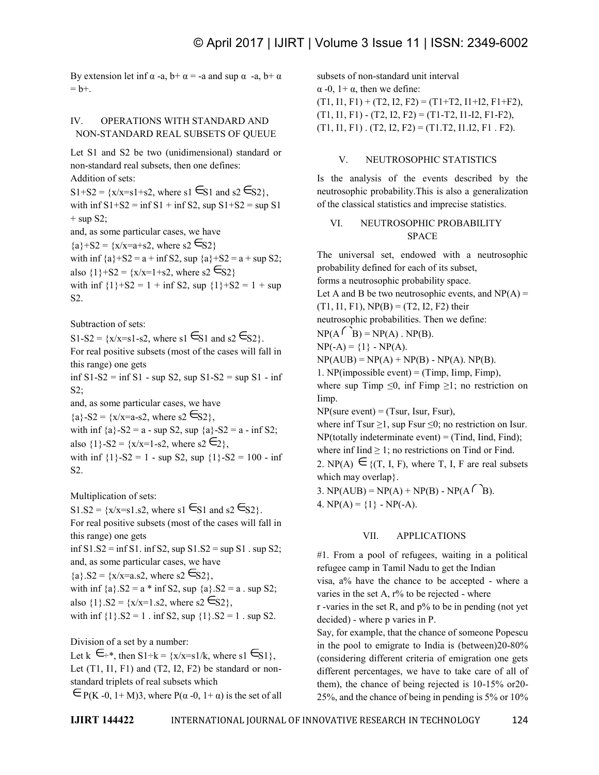By extension let inf  $\alpha$  -a,  $b + \alpha = -a$  and sup  $\alpha$  -a,  $b + \alpha$  $= b +$ .

### IV. OPERATIONS WITH STANDARD AND NON-STANDARD REAL SUBSETS OF QUEUE

Let S1 and S2 be two (unidimensional) standard or non-standard real subsets, then one defines: Addition of sets: S1+S2 =  $\{x/x=s1+s2, \text{ where } s1 \in S1 \text{ and } s2 \in S2\}$ , with  $\inf S1+S2 = \inf S1 + \inf S2$ , sup  $S1+S2 = \sup S1$  $+$  sup S2; and, as some particular cases, we have  $\{a\}+S2 = \{x/x=a+s2, \text{ where } s2 \in S2\}$ with inf  ${a}$ +S2 = a + inf S2, sup  ${a}$ +S2 = a + sup S2; also  $\{1\}+S2 = \{x/x=1+s2, \text{ where } s2 \in S2\}$ with inf  ${1}+S2 = 1 + inf S2$ , sup  ${1}+S2 = 1 + sup$ S2. Subtraction of sets:

 $S1-S2 = \{x/x=s1-s2, \text{ where } s1 \in S1 \text{ and } s2 \in S2\}.$ For real positive subsets (most of the cases will fall in this range) one gets inf  $S1-S2 = inf S1 - sup S2$ , sup  $S1-S2 = sup S1 - inf$  $S2$ : and, as some particular cases, we have  ${a}$ -S2 = {x/x=a-s2, where s2  $\epsilon$ S2}, with inf  ${a}$ -S2 = a - sup S2, sup  ${a}$ -S2 = a - inf S2; also  $\{1\}$ -S2 =  $\{x/x=1$ -s2, where s2  $\epsilon_2$ , with inf  $\{1\}$ -S2 = 1 - sup S2, sup  $\{1\}$ -S2 = 100 - inf S2.

Multiplication of sets:

 $S1.S2 = \{x/x=s1.s2, \text{ where } s1 \in S1 \text{ and } s2 \in S2\}.$ For real positive subsets (most of the cases will fall in this range) one gets  $\inf S1.S2 = \inf S1$ .  $\inf S2$ ,  $\sup S1.S2 = \sup S1$ .  $\sup S2$ ; and, as some particular cases, we have  ${a}$ .S2 = {x/x=a.s2, where s2  $\epsilon$ S2}, with inf  ${a}$ .  $S2 = a * inf S2$ , sup  ${a}$ .  $S2 = a$ . sup  $S2$ ; with  $\lim_{x \to 3} x_3$ ,  $32 - a$   $\lim_{x \to 2} x_2$ ,  $\sup_{x \to 3} x_3$ ,  $\lim_{x \to 2} x_3$ ,  $\lim_{x \to 2} x_3$ ,  $\lim_{x \to 2} x_3$ ,  $\lim_{x \to 3} x_3$ ,  $\lim_{x \to 3} x_3$ ,  $\lim_{x \to 3} x_3$ ,  $\lim_{x \to 3} x_3$ ,  $\lim_{x \to 3} x_3$ ,  $\lim_{x \to 3} x_3$ ,  $\lim_{x \to 3} x_3$ , with inf  $\{1\}$ .S2 = 1 . inf S2, sup  $\{1\}$ .S2 = 1 . sup S2.

Division of a set by a number:

Let  $k \in \mathbb{R}^*$ , then  $S1 \div k = \{x/x = s1/k, \text{ where } s1 \in S1\}$ , Let  $(T1, I1, F1)$  and  $(T2, I2, F2)$  be standard or nonstandard triplets of real subsets which  $\epsilon_{P(K-0, 1+M)3}$ , where  $P(\alpha -0, 1+\alpha)$  is the set of all

subsets of non-standard unit interval α -0, 1+ α, then we define:  $(T1, 11, F1) + (T2, I2, F2) = (T1+T2, I1+I2, F1+F2),$  $(T1, 11, F1) - (T2, I2, F2) = (T1-T2, I1-I2, F1-F2),$  $(T1, 11, F1)$ .  $(T2, 12, F2) = (T1. T2, 11.12, F1. F2)$ .

#### V. NEUTROSOPHIC STATISTICS

Is the analysis of the events described by the neutrosophic probability.This is also a generalization of the classical statistics and imprecise statistics.

#### VI. NEUTROSOPHIC PROBABILITY SPACE

The universal set, endowed with a neutrosophic probability defined for each of its subset, forms a neutrosophic probability space. Let A and B be two neutrosophic events, and  $NP(A) =$  $(T1, 11, F1)$ ,  $NP(B) = (T2, I2, F2)$  their neutrosophic probabilities. Then we define:  $NP(A \cap B) = NP(A)$ .  $NP(B)$ .  $NP(-A) = \{1\} - NP(A).$  $NP(AUB) = NP(A) + NP(B) - NP(A)$ .  $NP(B)$ . 1. NP(impossible event) = (Timp,  $\lim p$ , Fimp), where sup Timp  $\leq 0$ , inf Fimp  $\geq 1$ ; no restriction on Iimp.  $NP(sure event) = (Tsur, Isur, Fsur),$ where inf Tsur  $\geq$ 1, sup Fsur  $\leq$ 0; no restriction on Isur.  $NP(totally indeterminate event) = (Tind, Ind, Find);$ where inf Iind  $\geq 1$ ; no restrictions on Tind or Find. 2. NP(A)  $\in$  {(T, I, F), where T, I, F are real subsets which may overlap}. 3. NP(AUB) = NP(A) + NP(B) - NP(A $\bigcap B$ ). 4.  $NP(A) = \{1\} - NP(-A)$ .

#### VII. APPLICATIONS

#1. From a pool of refugees, waiting in a political refugee camp in Tamil Nadu to get the Indian visa, a% have the chance to be accepted - where a varies in the set A,  $r\%$  to be rejected - where

r -varies in the set R, and p% to be in pending (not yet decided) - where p varies in P.

Say, for example, that the chance of someone Popescu in the pool to emigrate to India is (between)20-80% (considering different criteria of emigration one gets different percentages, we have to take care of all of them), the chance of being rejected is 10-15% or20- 25%, and the chance of being in pending is 5% or 10%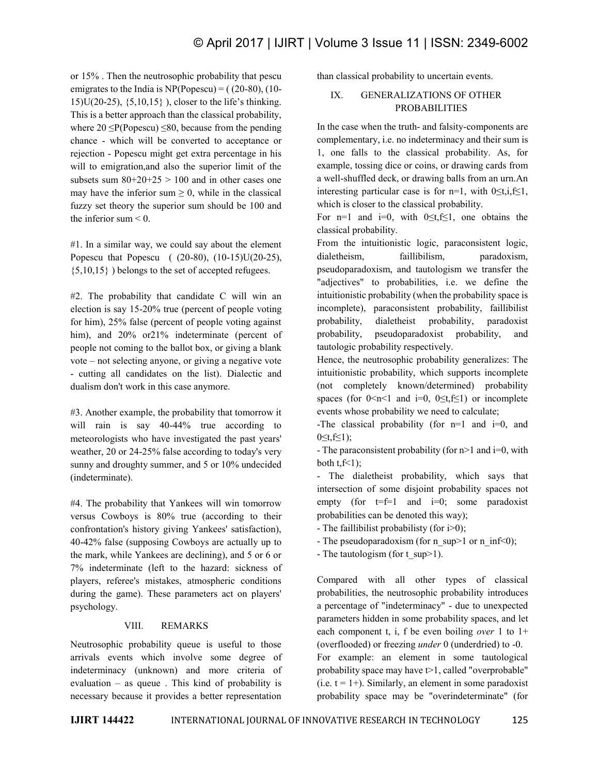or 15% . Then the neutrosophic probability that pescu emigrates to the India is  $NP(Popescu) = (20-80), (10-$ 15)U(20-25), {5,10,15} ), closer to the life's thinking. This is a better approach than the classical probability, where  $20 \leq P(\text{Popescu}) \leq 80$ , because from the pending chance - which will be converted to acceptance or rejection - Popescu might get extra percentage in his will to emigration,and also the superior limit of the subsets sum  $80+20+25 > 100$  and in other cases one may have the inferior sum  $\geq 0$ , while in the classical fuzzy set theory the superior sum should be 100 and the inferior sum  $\leq 0$ .

#1. In a similar way, we could say about the element Popescu that Popescu ( (20-80), (10-15)U(20-25), {5,10,15} ) belongs to the set of accepted refugees.

#2. The probability that candidate C will win an election is say 15-20% true (percent of people voting for him), 25% false (percent of people voting against him), and 20% or 21% indeterminate (percent of people not coming to the ballot box, or giving a blank vote – not selecting anyone, or giving a negative vote - cutting all candidates on the list). Dialectic and dualism don't work in this case anymore.

#3. Another example, the probability that tomorrow it will rain is say 40-44% true according to meteorologists who have investigated the past years' weather, 20 or 24-25% false according to today's very sunny and droughty summer, and 5 or 10% undecided (indeterminate).

#4. The probability that Yankees will win tomorrow versus Cowboys is 80% true (according to their confrontation's history giving Yankees' satisfaction), 40-42% false (supposing Cowboys are actually up to the mark, while Yankees are declining), and 5 or 6 or 7% indeterminate (left to the hazard: sickness of players, referee's mistakes, atmospheric conditions during the game). These parameters act on players' psychology.

## VIII. REMARKS

Neutrosophic probability queue is useful to those arrivals events which involve some degree of indeterminacy (unknown) and more criteria of evaluation – as queue . This kind of probability is necessary because it provides a better representation

than classical probability to uncertain events.

## IX. GENERALIZATIONS OF OTHER **PROBABILITIES**

In the case when the truth- and falsity-components are complementary, i.e. no indeterminacy and their sum is 1, one falls to the classical probability. As, for example, tossing dice or coins, or drawing cards from a well-shuffled deck, or drawing balls from an urn.An interesting particular case is for n=1, with  $0 \le t, i \le 1$ , which is closer to the classical probability.

For n=1 and i=0, with  $0 \le t$ , f is not obtains the classical probability.

From the intuitionistic logic, paraconsistent logic, dialetheism, faillibilism, paradoxism, pseudoparadoxism, and tautologism we transfer the "adjectives" to probabilities, i.e. we define the intuitionistic probability (when the probability space is incomplete), paraconsistent probability, faillibilist probability, dialetheist probability, paradoxist probability, pseudoparadoxist probability, and tautologic probability respectively.

Hence, the neutrosophic probability generalizes: The intuitionistic probability, which supports incomplete (not completely known/determined) probability spaces (for  $0 \le n \le 1$  and i=0,  $0 \le t, f \le 1$ ) or incomplete events whose probability we need to calculate;

-The classical probability (for  $n=1$  and  $i=0$ , and 0≤t,f≤1);

- The paraconsistent probability (for  $n>1$  and  $i=0$ , with both  $t, f \leq 1$ ;

- The dialetheist probability, which says that intersection of some disjoint probability spaces not empty (for  $t=f=1$  and  $i=0$ ; some paradoxist probabilities can be denoted this way);

- The faillibilist probabilisty (for i>0);

- The pseudoparadoxism (for n\_sup>1 or n\_inf<0);
- The tautologism (for t\_sup $>1$ ).

Compared with all other types of classical probabilities, the neutrosophic probability introduces a percentage of "indeterminacy" - due to unexpected parameters hidden in some probability spaces, and let each component t, i, f be even boiling *over* 1 to 1+ (overflooded) or freezing *under* 0 (underdried) to -0. For example: an element in some tautological probability space may have  $t>1$ , called "overprobable"  $(i.e. t = 1+)$ . Similarly, an element in some paradoxist probability space may be "overindeterminate" (for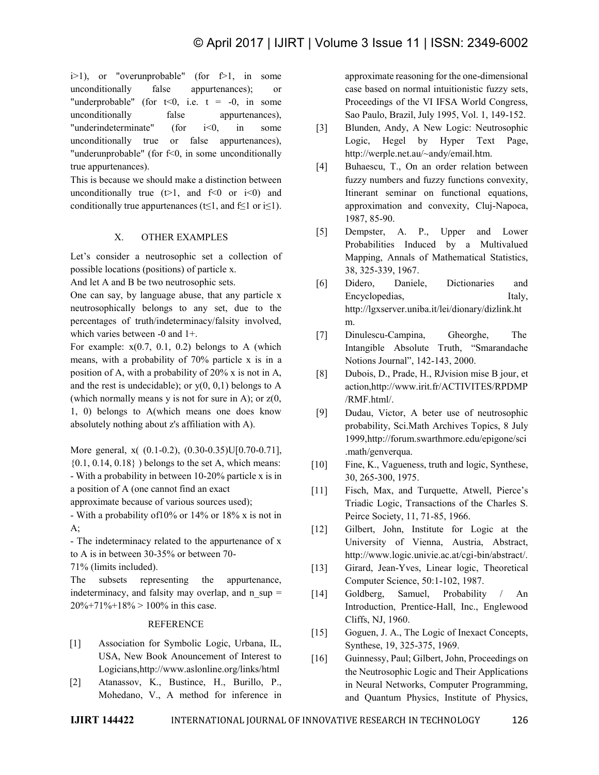$i>1$ ), or "overunprobable" (for  $f>1$ , in some unconditionally false appurtenances); or "underprobable" (for  $t<0$ , i.e.  $t = -0$ , in some unconditionally false appurtenances), "underindeterminate" (for i<0, in some unconditionally true or false appurtenances), "underunprobable" (for f<0, in some unconditionally true appurtenances).

This is because we should make a distinction between unconditionally true  $(t>1$ , and  $f<0$  or  $i<0$ ) and conditionally true appurtenances (t≤1, and f≤1 or i≤1).

#### X. OTHER EXAMPLES

Let's consider a neutrosophic set a collection of possible locations (positions) of particle x.

And let A and B be two neutrosophic sets.

One can say, by language abuse, that any particle x neutrosophically belongs to any set, due to the percentages of truth/indeterminacy/falsity involved, which varies between -0 and 1+.

For example:  $x(0.7, 0.1, 0.2)$  belongs to A (which means, with a probability of 70% particle x is in a position of A, with a probability of 20% x is not in A, and the rest is undecidable); or  $y(0, 0, 1)$  belongs to A (which normally means y is not for sure in A); or  $z(0, \theta)$ 1, 0) belongs to A(which means one does know absolutely nothing about z's affiliation with A).

More general, x( (0.1-0.2), (0.30-0.35)U[0.70-0.71],  $\{0.1, 0.14, 0.18\}$ ) belongs to the set A, which means: - With a probability in between 10-20% particle x is in a position of A (one cannot find an exact

approximate because of various sources used);

- With a probability of10% or 14% or 18% x is not in A;

- The indeterminacy related to the appurtenance of x to A is in between 30-35% or between 70-

71% (limits included).

The subsets representing the appurtenance, indeterminacy, and falsity may overlap, and  $n \sup$  =  $20\% + 71\% + 18\% > 100\%$  in this case.

#### REFERENCE

- [1] Association for Symbolic Logic, Urbana, IL, USA, New Book Anouncement of Interest to Logicians,http://www.aslonline.org/links/html
- [2] Atanassov, K., Bustince, H., Burillo, P., Mohedano, V., A method for inference in

approximate reasoning for the one-dimensional case based on normal intuitionistic fuzzy sets, Proceedings of the VI IFSA World Congress, Sao Paulo, Brazil, July 1995, Vol. 1, 149-152.

- [3] Blunden, Andy, A New Logic: Neutrosophic Logic, Hegel by Hyper Text Page, http://werple.net.au/~andy/email.htm.
- [4] Buhaescu, T., On an order relation between fuzzy numbers and fuzzy functions convexity, Itinerant seminar on functional equations, approximation and convexity, Cluj-Napoca, 1987, 85-90.
- [5] Dempster, A. P., Upper and Lower Probabilities Induced by a Multivalued Mapping, Annals of Mathematical Statistics, 38, 325-339, 1967.
- [6] Didero, Daniele, Dictionaries and Encyclopedias, Italy, http://lgxserver.uniba.it/lei/dionary/dizlink.ht m.
- [7] Dinulescu-Campina, Gheorghe, The Intangible Absolute Truth, "Smarandache Notions Journal", 142-143, 2000.
- [8] Dubois, D., Prade, H., RJvision mise B jour, et action,http://www.irit.fr/ACTIVITES/RPDMP /RMF.html/.
- [9] Dudau, Victor, A beter use of neutrosophic probability, Sci.Math Archives Topics, 8 July 1999,http://forum.swarthmore.edu/epigone/sci .math/genverqua.
- [10] Fine, K., Vagueness, truth and logic, Synthese, 30, 265-300, 1975.
- [11] Fisch, Max, and Turquette, Atwell, Pierce's Triadic Logic, Transactions of the Charles S. Peirce Society, 11, 71-85, 1966.
- [12] Gilbert, John, Institute for Logic at the University of Vienna, Austria, Abstract, http://www.logic.univie.ac.at/cgi-bin/abstract/.
- [13] Girard, Jean-Yves, Linear logic, Theoretical Computer Science, 50:1-102, 1987.
- [14] Goldberg, Samuel, Probability / An Introduction, Prentice-Hall, Inc., Englewood Cliffs, NJ, 1960.
- [15] Goguen, J. A., The Logic of Inexact Concepts, Synthese, 19, 325-375, 1969.
- [16] Guinnessy, Paul; Gilbert, John, Proceedings on the Neutrosophic Logic and Their Applications in Neural Networks, Computer Programming, and Quantum Physics, Institute of Physics,